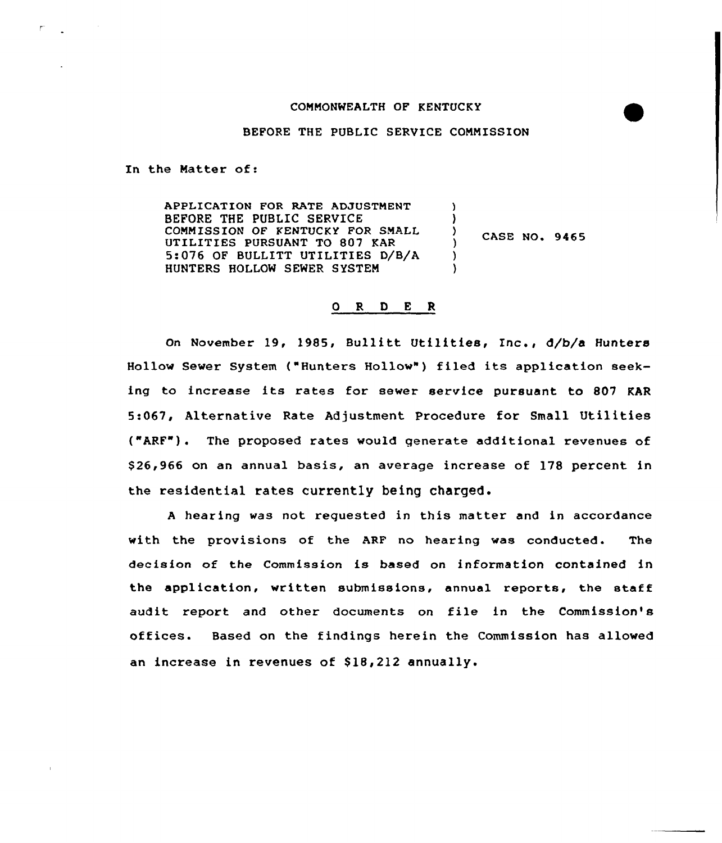# CONNONWEALTH OF KENTUCKY

BEFORE THE PUBLIC SERVICE COMMISSION

In the Natter of:

 $\mathsf{r}$ 

APPLICATION FOR RATE ADJUSTMENT BEFORE THE PUBLIC SERVICE COMMISSION OF KENTUCKY FOR SMALL UTILITIES PURSUANT TO 807 KAR 5:076 OF BULLITT UTILITIES D/B/A HUNTERS HOLLOW SEWER SYSTEM ) ) ) )

 $\left\{\right\}$  CASE NO. 9465

### O R D E R

On November 19, 1985, Bullitt Utilities, Inc., d/b/a Hunters Hollow Sewer System {"Hunters Hollow" ) filed its application seeking to increase its rates for sewer service pursuant to 807 KAR 5:067, Alternative Rate Adjustment Procedure for Small Utilities {"ARF"). The proposed rates would generate additional revenues of \$ 26,966 on an annual basis, an average increase of 178 percent in the residential rates currently being charged.

<sup>A</sup> hearing was not requested in this matter and in accordance with the provisions of the ARF no hearing was conducted. The decision of the Commission is based on information contained in the application, written submissions, annual reports, the staff audit report and other documents on file in the Commission's offices. Based on the findings herein the Commission has allowed an increase in revenues of \$18,212 annually.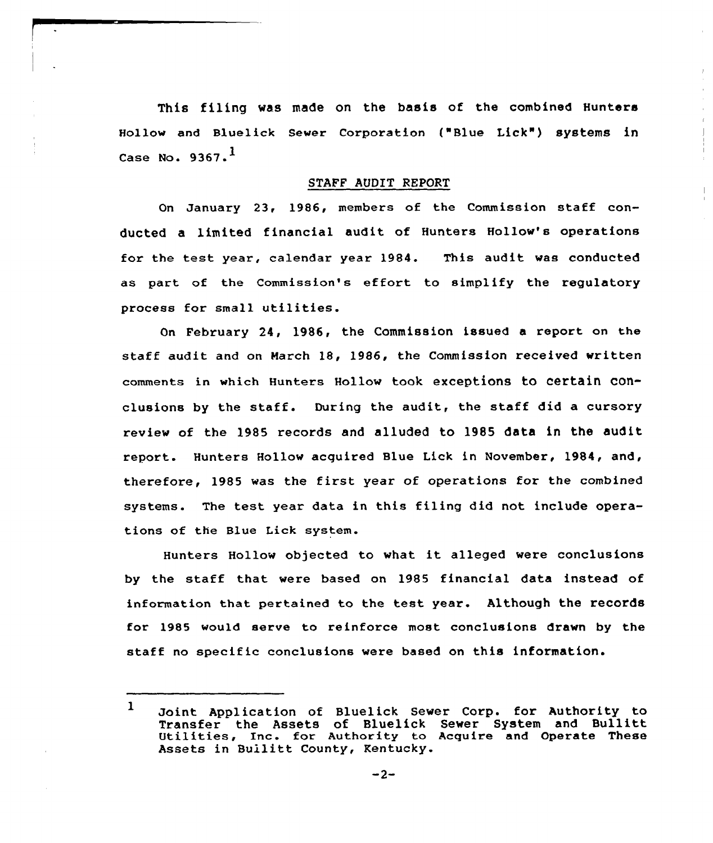This filing was made on the basis of the combined Hunters Hollow and Bluelick Sewer Corporation ("Blue Lick") systems in Case No.  $9367.$ <sup>1</sup>

## STAFF AUDIT REPORT

On January 23, 1986, members of the Commission staff conducted a limited financial audit of Hunters Hollow's operations for the test year, calendar year 1984. This audit was conducted as part of the Commission's effort to simplify the regulatory process for small utilities.

On February 24, 1986, the Commission issued a report on the staff audit and on March 18, 1986, the Commission received written comments in which Hunters Hollow took exceptions to certain conclusions by the staff. During the audit, the staff did <sup>a</sup> cursory review of the 1985 records and alluded to 1985 data in the audit report. Hunters Hollov acquired Blue Lick in November, 1984, and, therefore, 1985 was the first year of operations for the combined systems. The test year data in this filing did not include operations of the Blue Lick system.

Hunters Hollow objected to what it alleged were conclusions by the staff that were based on 1985 financial data instead of information that pertained to the test year. Although the records for 1985 would serve to reinforce most conclusions drawn by the staff no specific conclusions were based on this information.

 $\mathbf{1}$ Joint Application of Bluelick Sewer Corp. for Authoxity to Transfer the Assets of Bluelick Sewer System and Bullitt Utilities, Inc. for Authority to Acquire and Operate These Assets in Bullitt County, Kentucky.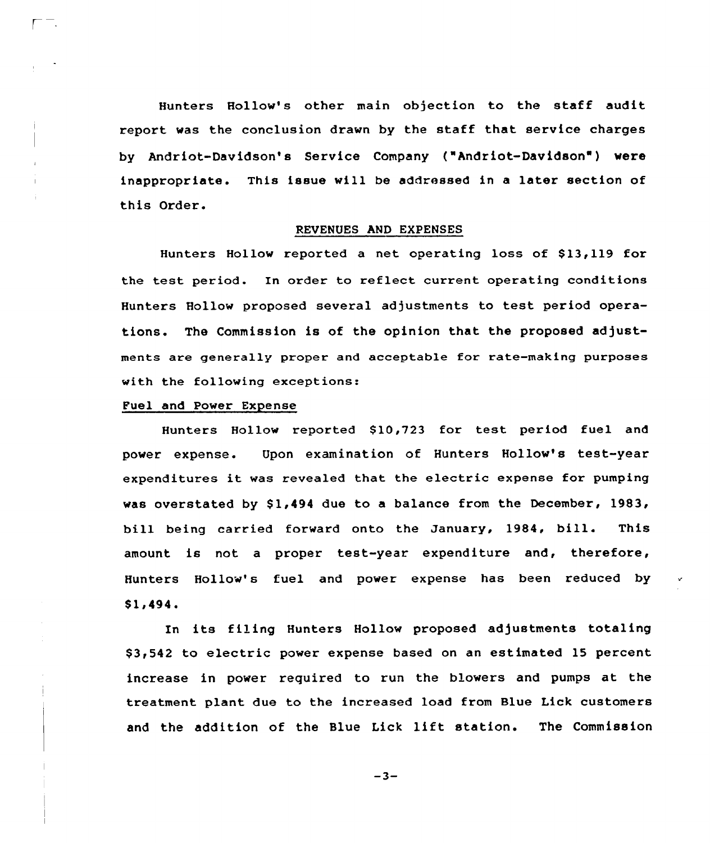Hunters Hollow's other main objection to the staff audit report was the conclusion drawn by the staff that service charges by Andriot-Davidson's Service Company ("Andriot-Davidson') were inappropriate. This issue will be addressed in <sup>a</sup> later section of this Order.

#### REVENUES AND EXPENSES

Hunters Hollow reported a net operating loss of \$13,119 for the test period. In order to reflect current operating conditions Hunters Hollow proposed several adjustments to test period operations. The Commission is of the opinion that the proposed adjustments are generally proper and acceptable for rate-making purposes with the following exceptions:

# Fuel and Power Expense

Hunters Hollow reported \$10,723 for test period fuel and power expense. Upon examination of Hunters Hollow's test-year expenditures it was revealed that the electric expense for pumping was overstated by  $$1,494$  due to a balance from the December, 1983, bill being carried forward onto the January, 1984, bill. This amount is not a proper test-year expenditure and, therefore, Hunters Hollow's fuel and power expense has been reduced by \$1,494.

In its filing Hunters Hollow proposed adjustments totaling \$ 3,542 to electric power expense based on an estimated 15 percent increase in power required to run the blowers and pumps at the treatment plant due to the increased load from Blue Lick customers and the addition of the Blue Lick lift station. The Commission

 $-3-$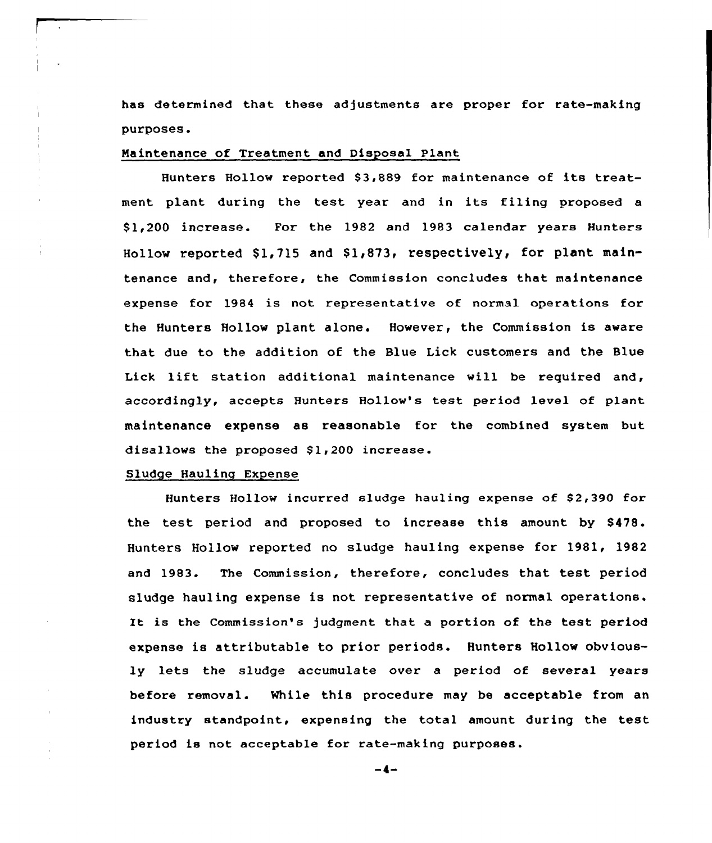has determined that these adjustments are proper for rate-making purposes.

#### Maintenance of Treatment and Disposal Plant

Hunters Hollow reported \$3,889 for maintenance of its treatment plant during the test year and in its filing proposed <sup>a</sup> \$ 1,200 increase. For the 1982 and 1983 calendar years Hunters Hollow reported \$1,715 and \$1,873, respectively, for plant maintenance and, therefore, the Commission concludes that maintenance expense for 1984 is not representative of normal operations for the Hunters Hollow plant alone. However, the Commission is aware that due to the addition of the Blue Lick customers and the Blue Lick lift station additional maintenance will be required and, accordingly, accepts Hunters Hollow's test period level of plant maintenance expense as reasonable for the combined system but disallows the proposed \$1,200 increase.

# Sludge Hauling Expense

Hunters Hollow incurred sludge hauling expense of \$2,390 for the test period and proposed to increase this amount by \$478. Hunters Hollow reported no sludge hauling expense for 1981, 1982 and 1983. The Commission, therefore, concludes that test period sludge hauling expense is not representative of normal operations. It is the Commission's judgment that <sup>a</sup> portion of the test period expense is attributable to prior periods. Hunters Hollow obviously lets the sludge accumulate over a period of several years before removal. While this procedure may be acceptable from an industry standpoint, expensing the total amount during the test period is not acceptable for rate-making purposes.

 $-4-$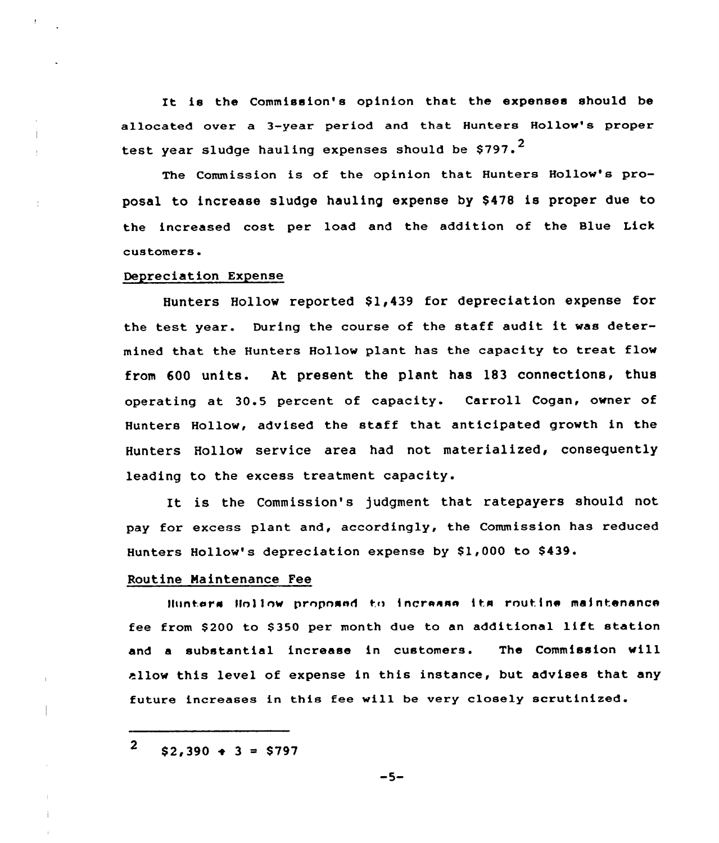It is the Commission's opinion that the expenses should be allocated over a 3-year period and that Hunters Hollow's proper test year sludge hauling expenses should be  $$797.^2$ 

The Commission is of the opinion that Hunters Hollow's proposal to increase sludge hauling expense by \$478 is proper due to the increased cost per load and the addition of the Blue Lick customers.

# Depreciation Expense

Hunters Hollow reported \$1,439 for depreciation expense for the test year. During the course of the staff audit it was determined that the Hunters Hollow plant has the capacity to treat flow from 600 units. At present. the plant has 183 connections, thus operating at 30.5 percent of capacity. Carroll Cogan, owner of Hunters Hollow, advised the staff that anticipated growth in the Hunters Hollow service area had not materialized, consequently leading to the excess treatment capacity.

It is the Commission's judgment that ratepayers should not pay for excess plant and, accordingly, the Commission has reduced Hunters Hollow's depreciation expense by \$1,000 to \$439.

#### Routine Maintenance Fee

llunters lioliow proposed to increase its routine maintenance fee from \$200 to \$350 per month due to an additional lift station and a substantial increase in customers. The Commission will allow this level of expense in this instance, but advises that any future increases in this fee will be very closely scrutinized.

 $\overline{2}$  $$2,390 + 3 = $797$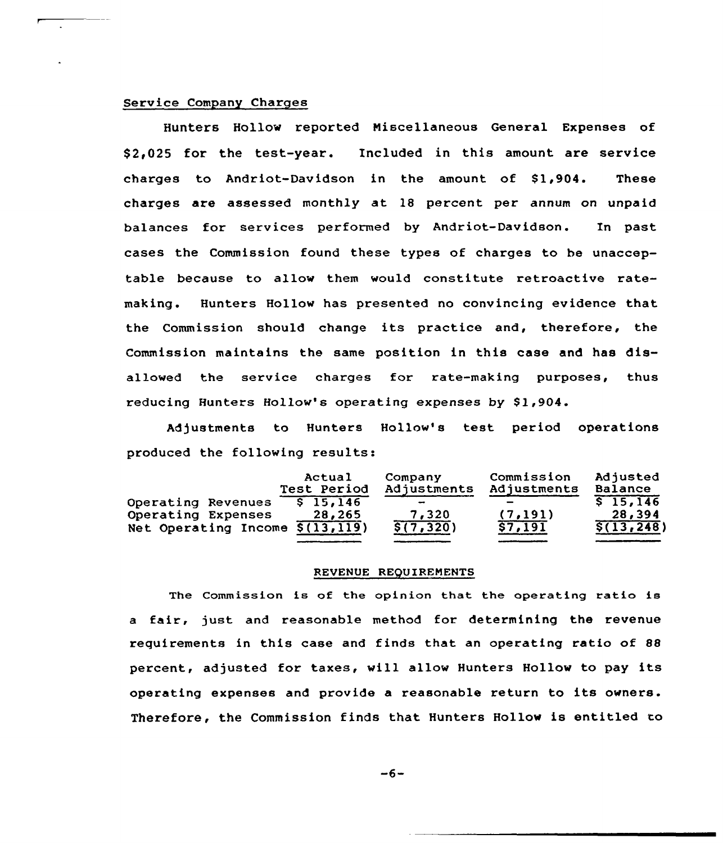# Service Company Charges

Hunters Hollow reported Niscellaneous General Expenses of \$ 2,025 for the test-year. Included in this amount are service charges to Andriot-Davidson in the amount of  $$1,904$ . These charges are assessed monthly at 18 percent per annum on unpaid balances for services performed by Andriot-Davidson. In past cases the Commission found these types of charges to be unacceptable because to allow them would constitute retroactive ratemaking. Hunters Hollow has presented no convincing evidence that the Commission should change its practice and, therefore, the Commission maintains the same position in this case and has disallowed the service charges for rate-making purposes, thus reducing Hunters Hollow's operating expenses by \$1,904.

Adjustments to Hunters Hollow's test period operations produced the following results:

|                                             | Actual<br>Test Period | Company<br>Adjustments | Commission<br>Adjustments | Adjusted<br>Balance |
|---------------------------------------------|-----------------------|------------------------|---------------------------|---------------------|
| Operating Revenues                          | \$15,146              |                        |                           | \$15.146            |
| Operating Expenses                          | 28,265                | 7,320                  | (7, 191)                  | 28,394              |
| Net Operating Income $\overline{S(13,119)}$ |                       | $\sqrt{5(7, 320)}$     | 57,191                    | $\sqrt{5(13, 248)}$ |

### REVENUE REQUIREMENTS

The Commission is of the opinion that the operating ratio is <sup>a</sup> fair, just and reasonable method for determining the revenue requirements in this case and finds that an operating ratio of 88 percent, adjusted for taxes, will allow Hunters Hollow to pay its operating expenses and provide a reasonable return to its owners. Therefore, the Commission finds that Hunters Hollow is entitled to

 $-6-$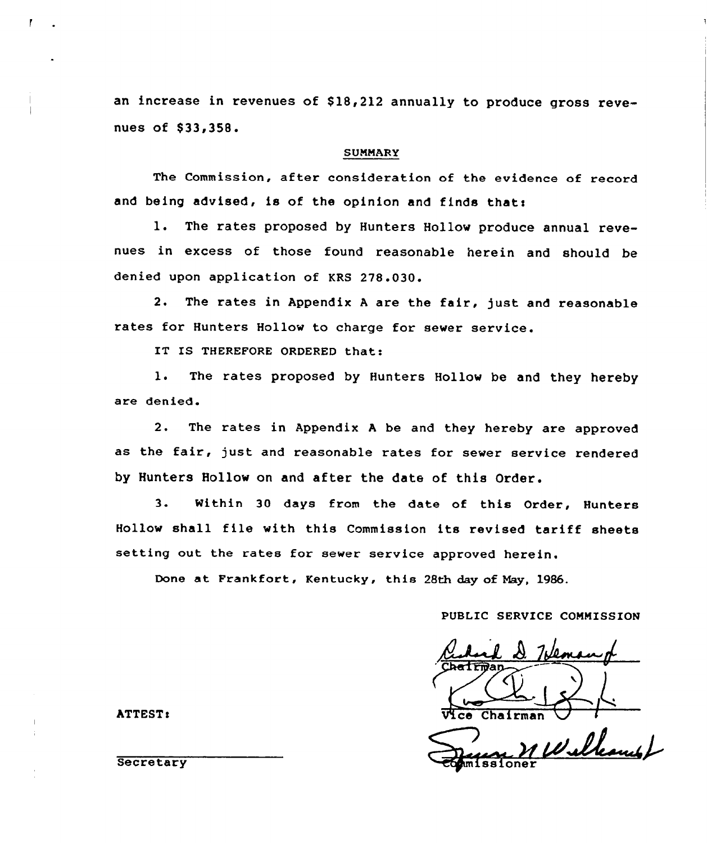an increase in revenues of \$18,212 annually to produce gross revenues of \$33,358.

# SUMMARY

The Commission, after consideration of the evidence of record and being advised, is of the opinion and finds that:

1. The rates proposed by Hunters Hollow produce annual revenues in excess of those found reasonable herein and should be denied upon application of KRS 278.030.

2. The rates in Appendix <sup>A</sup> are the fair, just and reasonable rates for Hunters Hollow to charge for sewer service.

IT IS THEREFORE ORDERED that:

1. The rates proposed by Hunters Hollow be and they hereby are denied.

2. The rates in Appendix <sup>A</sup> be and they hereby are approved as the fair, just and reasonable rates for sewer service rendered by Hunters Hollow on and after the date of this Order.

3. Within 30 days from the date of this Order, Hunters Hollow shall file with this Commission its revised tariff sheets setting out the rates for sewer service approved herein.

Done at Frankfort, Kentucky, this 28th day of Nay, 1986.

PUBLIC SERVICE COMMISSION

Chairman nв.

Williams

ATTEST:

**Secretary**